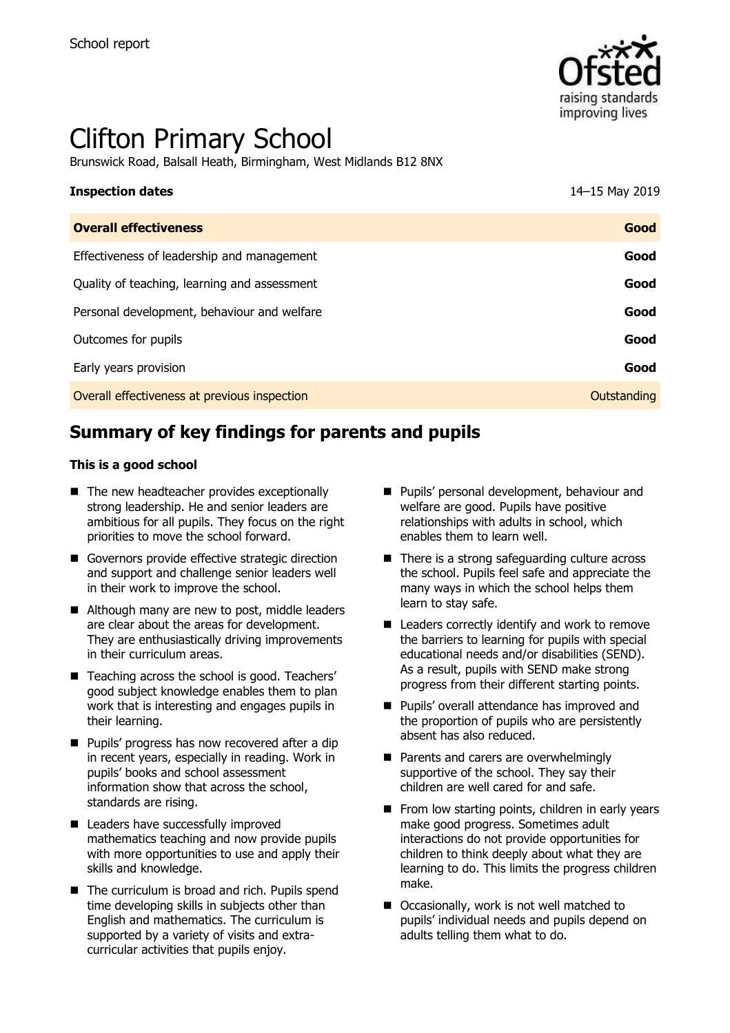

# Clifton Primary School

Brunswick Road, Balsall Heath, Birmingham, West Midlands B12 8NX

| <b>Inspection dates</b>                      | 14-15 May 2019 |
|----------------------------------------------|----------------|
| <b>Overall effectiveness</b>                 | Good           |
| Effectiveness of leadership and management   | Good           |
| Quality of teaching, learning and assessment | Good           |
| Personal development, behaviour and welfare  | Good           |
| Outcomes for pupils                          | Good           |
| Early years provision                        | Good           |
| Overall effectiveness at previous inspection | Outstanding    |

# **Summary of key findings for parents and pupils**

#### **This is a good school**

- The new headteacher provides exceptionally strong leadership. He and senior leaders are ambitious for all pupils. They focus on the right priorities to move the school forward.
- Governors provide effective strategic direction and support and challenge senior leaders well in their work to improve the school.
- Although many are new to post, middle leaders are clear about the areas for development. They are enthusiastically driving improvements in their curriculum areas.
- Teaching across the school is good. Teachers' good subject knowledge enables them to plan work that is interesting and engages pupils in their learning.
- **Pupils' progress has now recovered after a dip** in recent years, especially in reading. Work in pupils' books and school assessment information show that across the school, standards are rising.
- Leaders have successfully improved mathematics teaching and now provide pupils with more opportunities to use and apply their skills and knowledge.
- The curriculum is broad and rich. Pupils spend time developing skills in subjects other than English and mathematics. The curriculum is supported by a variety of visits and extracurricular activities that pupils enjoy.
- **Pupils' personal development, behaviour and** welfare are good. Pupils have positive relationships with adults in school, which enables them to learn well.
- $\blacksquare$  There is a strong safeguarding culture across the school. Pupils feel safe and appreciate the many ways in which the school helps them learn to stay safe.
- Leaders correctly identify and work to remove the barriers to learning for pupils with special educational needs and/or disabilities (SEND). As a result, pupils with SEND make strong progress from their different starting points.
- **Pupils' overall attendance has improved and** the proportion of pupils who are persistently absent has also reduced.
- **Parents and carers are overwhelmingly** supportive of the school. They say their children are well cared for and safe.
- $\blacksquare$  From low starting points, children in early years make good progress. Sometimes adult interactions do not provide opportunities for children to think deeply about what they are learning to do. This limits the progress children make.
- Occasionally, work is not well matched to pupils' individual needs and pupils depend on adults telling them what to do.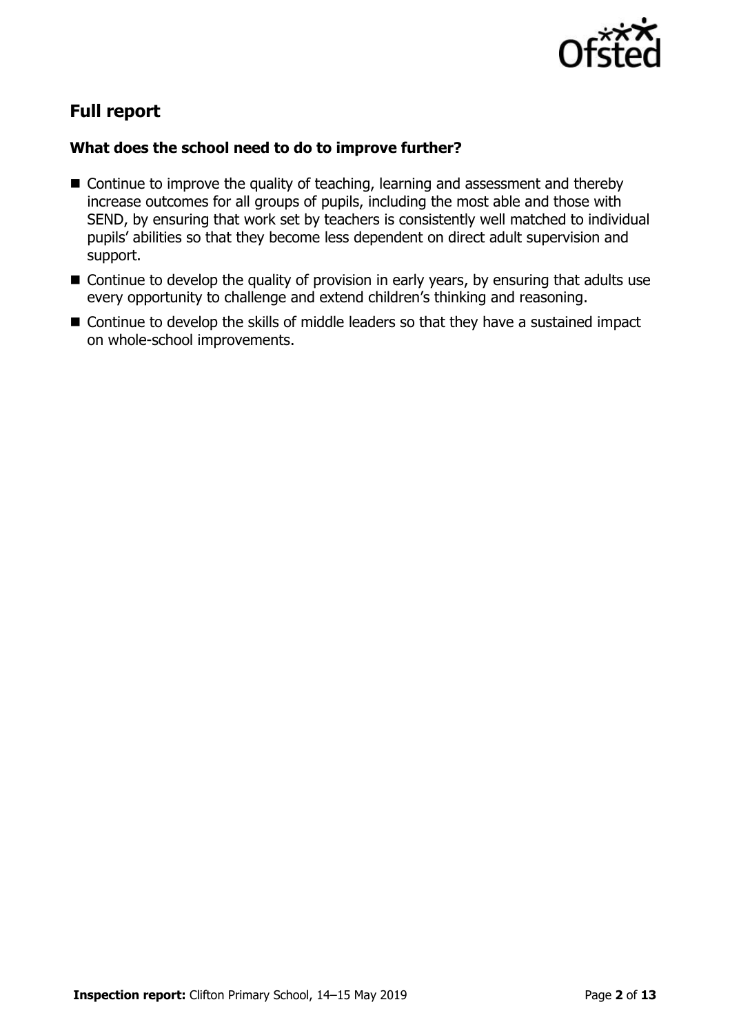

# **Full report**

#### **What does the school need to do to improve further?**

- Continue to improve the quality of teaching, learning and assessment and thereby increase outcomes for all groups of pupils, including the most able and those with SEND, by ensuring that work set by teachers is consistently well matched to individual pupils' abilities so that they become less dependent on direct adult supervision and support.
- Continue to develop the quality of provision in early years, by ensuring that adults use every opportunity to challenge and extend children's thinking and reasoning.
- Continue to develop the skills of middle leaders so that they have a sustained impact on whole-school improvements.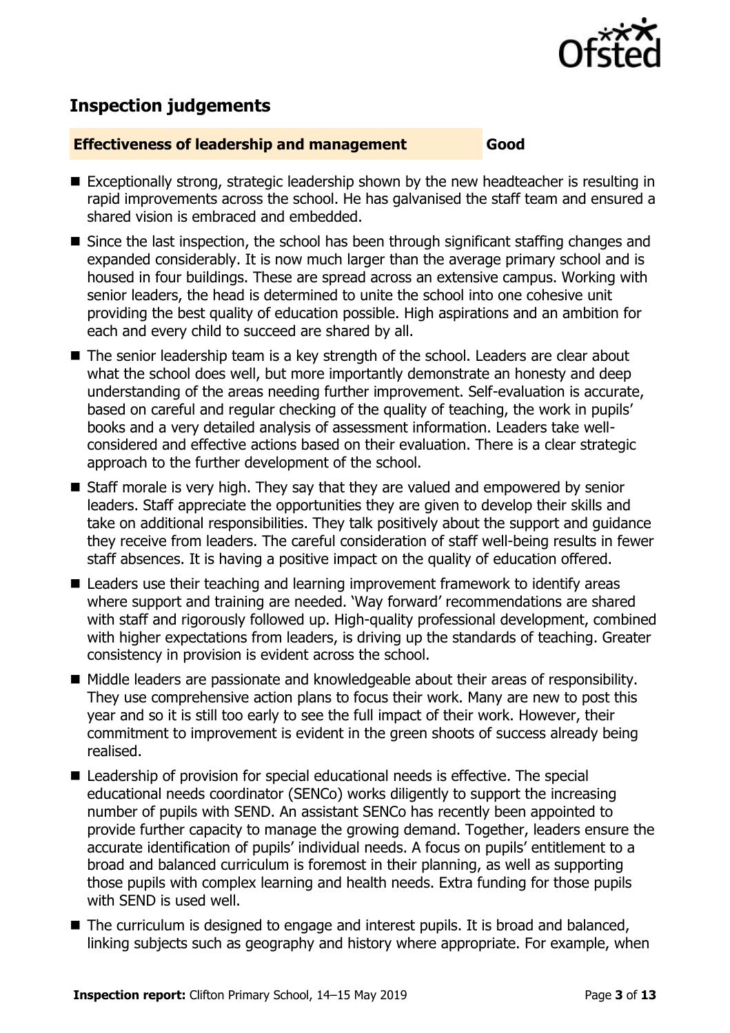

# **Inspection judgements**

#### **Effectiveness of leadership and management Good**

- Exceptionally strong, strategic leadership shown by the new headteacher is resulting in rapid improvements across the school. He has galvanised the staff team and ensured a shared vision is embraced and embedded.
- Since the last inspection, the school has been through significant staffing changes and expanded considerably. It is now much larger than the average primary school and is housed in four buildings. These are spread across an extensive campus. Working with senior leaders, the head is determined to unite the school into one cohesive unit providing the best quality of education possible. High aspirations and an ambition for each and every child to succeed are shared by all.
- The senior leadership team is a key strength of the school. Leaders are clear about what the school does well, but more importantly demonstrate an honesty and deep understanding of the areas needing further improvement. Self-evaluation is accurate, based on careful and regular checking of the quality of teaching, the work in pupils' books and a very detailed analysis of assessment information. Leaders take wellconsidered and effective actions based on their evaluation. There is a clear strategic approach to the further development of the school.
- Staff morale is very high. They say that they are valued and empowered by senior leaders. Staff appreciate the opportunities they are given to develop their skills and take on additional responsibilities. They talk positively about the support and guidance they receive from leaders. The careful consideration of staff well-being results in fewer staff absences. It is having a positive impact on the quality of education offered.
- Leaders use their teaching and learning improvement framework to identify areas where support and training are needed. 'Way forward' recommendations are shared with staff and rigorously followed up. High-quality professional development, combined with higher expectations from leaders, is driving up the standards of teaching. Greater consistency in provision is evident across the school.
- Middle leaders are passionate and knowledgeable about their areas of responsibility. They use comprehensive action plans to focus their work. Many are new to post this year and so it is still too early to see the full impact of their work. However, their commitment to improvement is evident in the green shoots of success already being realised.
- Leadership of provision for special educational needs is effective. The special educational needs coordinator (SENCo) works diligently to support the increasing number of pupils with SEND. An assistant SENCo has recently been appointed to provide further capacity to manage the growing demand. Together, leaders ensure the accurate identification of pupils' individual needs. A focus on pupils' entitlement to a broad and balanced curriculum is foremost in their planning, as well as supporting those pupils with complex learning and health needs. Extra funding for those pupils with SEND is used well.
- The curriculum is designed to engage and interest pupils. It is broad and balanced, linking subjects such as geography and history where appropriate. For example, when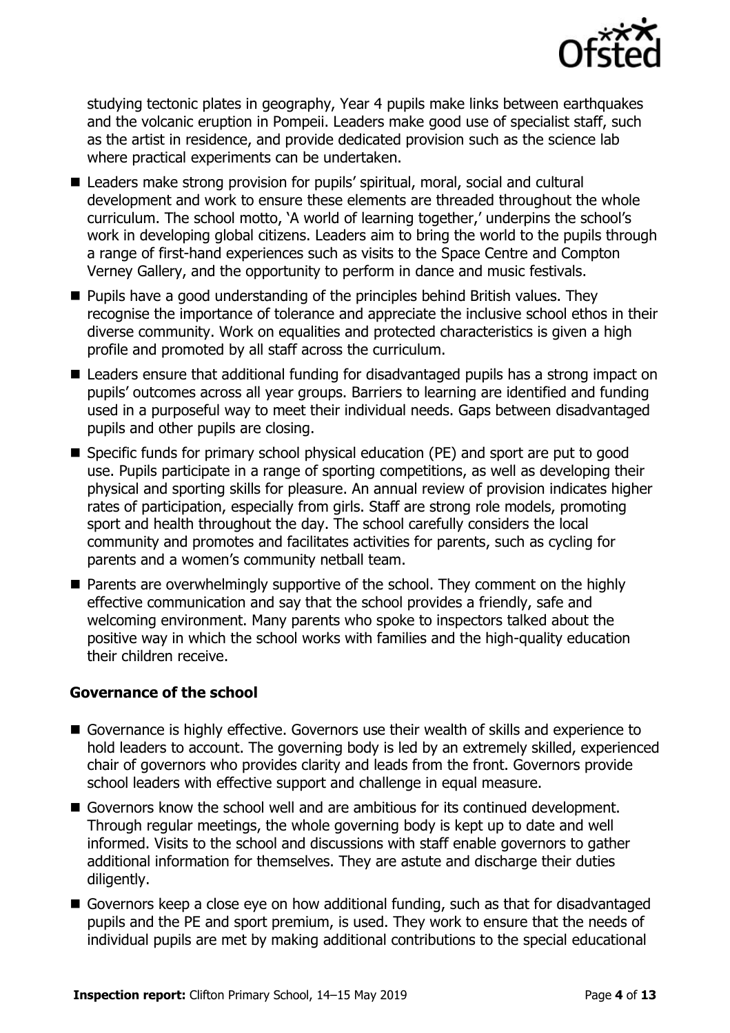

studying tectonic plates in geography, Year 4 pupils make links between earthquakes and the volcanic eruption in Pompeii. Leaders make good use of specialist staff, such as the artist in residence, and provide dedicated provision such as the science lab where practical experiments can be undertaken.

- Leaders make strong provision for pupils' spiritual, moral, social and cultural development and work to ensure these elements are threaded throughout the whole curriculum. The school motto, 'A world of learning together,' underpins the school's work in developing global citizens. Leaders aim to bring the world to the pupils through a range of first-hand experiences such as visits to the Space Centre and Compton Verney Gallery, and the opportunity to perform in dance and music festivals.
- **Pupils have a good understanding of the principles behind British values. They** recognise the importance of tolerance and appreciate the inclusive school ethos in their diverse community. Work on equalities and protected characteristics is given a high profile and promoted by all staff across the curriculum.
- Leaders ensure that additional funding for disadvantaged pupils has a strong impact on pupils' outcomes across all year groups. Barriers to learning are identified and funding used in a purposeful way to meet their individual needs. Gaps between disadvantaged pupils and other pupils are closing.
- Specific funds for primary school physical education (PE) and sport are put to good use. Pupils participate in a range of sporting competitions, as well as developing their physical and sporting skills for pleasure. An annual review of provision indicates higher rates of participation, especially from girls. Staff are strong role models, promoting sport and health throughout the day. The school carefully considers the local community and promotes and facilitates activities for parents, such as cycling for parents and a women's community netball team.
- **Parents are overwhelmingly supportive of the school. They comment on the highly** effective communication and say that the school provides a friendly, safe and welcoming environment. Many parents who spoke to inspectors talked about the positive way in which the school works with families and the high-quality education their children receive.

#### **Governance of the school**

- Governance is highly effective. Governors use their wealth of skills and experience to hold leaders to account. The governing body is led by an extremely skilled, experienced chair of governors who provides clarity and leads from the front. Governors provide school leaders with effective support and challenge in equal measure.
- Governors know the school well and are ambitious for its continued development. Through regular meetings, the whole governing body is kept up to date and well informed. Visits to the school and discussions with staff enable governors to gather additional information for themselves. They are astute and discharge their duties diligently.
- Governors keep a close eye on how additional funding, such as that for disadvantaged pupils and the PE and sport premium, is used. They work to ensure that the needs of individual pupils are met by making additional contributions to the special educational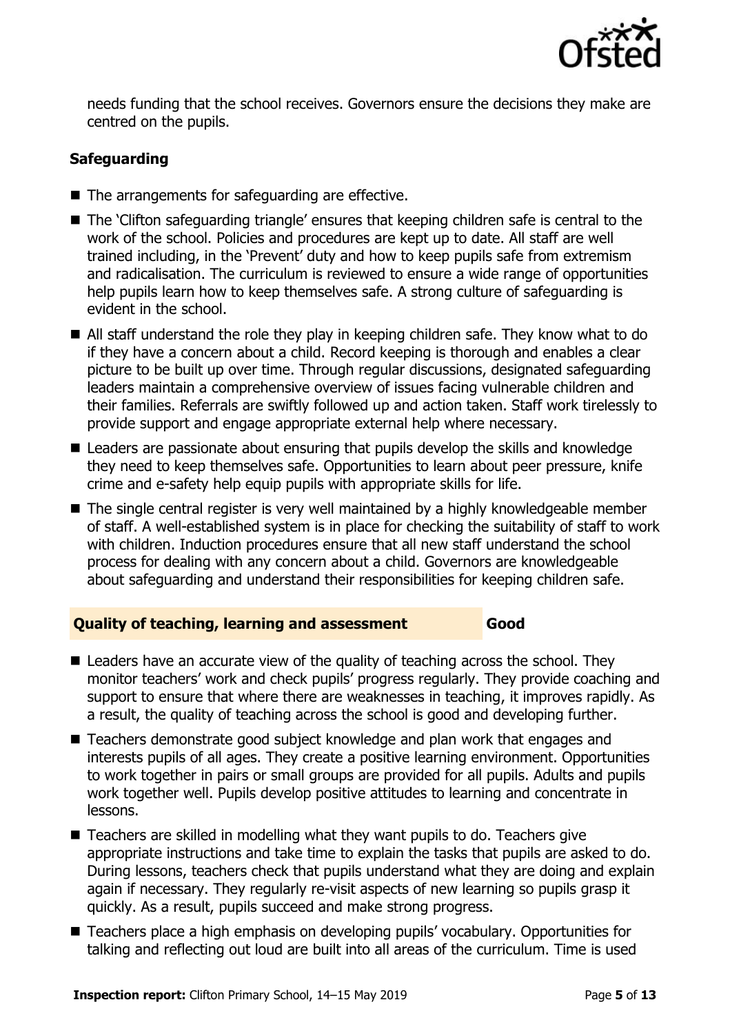

needs funding that the school receives. Governors ensure the decisions they make are centred on the pupils.

### **Safeguarding**

- $\blacksquare$  The arrangements for safeguarding are effective.
- The 'Clifton safeguarding triangle' ensures that keeping children safe is central to the work of the school. Policies and procedures are kept up to date. All staff are well trained including, in the 'Prevent' duty and how to keep pupils safe from extremism and radicalisation. The curriculum is reviewed to ensure a wide range of opportunities help pupils learn how to keep themselves safe. A strong culture of safeguarding is evident in the school.
- All staff understand the role they play in keeping children safe. They know what to do if they have a concern about a child. Record keeping is thorough and enables a clear picture to be built up over time. Through regular discussions, designated safeguarding leaders maintain a comprehensive overview of issues facing vulnerable children and their families. Referrals are swiftly followed up and action taken. Staff work tirelessly to provide support and engage appropriate external help where necessary.
- Leaders are passionate about ensuring that pupils develop the skills and knowledge they need to keep themselves safe. Opportunities to learn about peer pressure, knife crime and e-safety help equip pupils with appropriate skills for life.
- The single central register is very well maintained by a highly knowledgeable member of staff. A well-established system is in place for checking the suitability of staff to work with children. Induction procedures ensure that all new staff understand the school process for dealing with any concern about a child. Governors are knowledgeable about safeguarding and understand their responsibilities for keeping children safe.

#### **Quality of teaching, learning and assessment Good**

- Leaders have an accurate view of the quality of teaching across the school. They monitor teachers' work and check pupils' progress regularly. They provide coaching and support to ensure that where there are weaknesses in teaching, it improves rapidly. As a result, the quality of teaching across the school is good and developing further.
- Teachers demonstrate good subject knowledge and plan work that engages and interests pupils of all ages. They create a positive learning environment. Opportunities to work together in pairs or small groups are provided for all pupils. Adults and pupils work together well. Pupils develop positive attitudes to learning and concentrate in lessons.
- Teachers are skilled in modelling what they want pupils to do. Teachers give appropriate instructions and take time to explain the tasks that pupils are asked to do. During lessons, teachers check that pupils understand what they are doing and explain again if necessary. They regularly re-visit aspects of new learning so pupils grasp it quickly. As a result, pupils succeed and make strong progress.
- Teachers place a high emphasis on developing pupils' vocabulary. Opportunities for talking and reflecting out loud are built into all areas of the curriculum. Time is used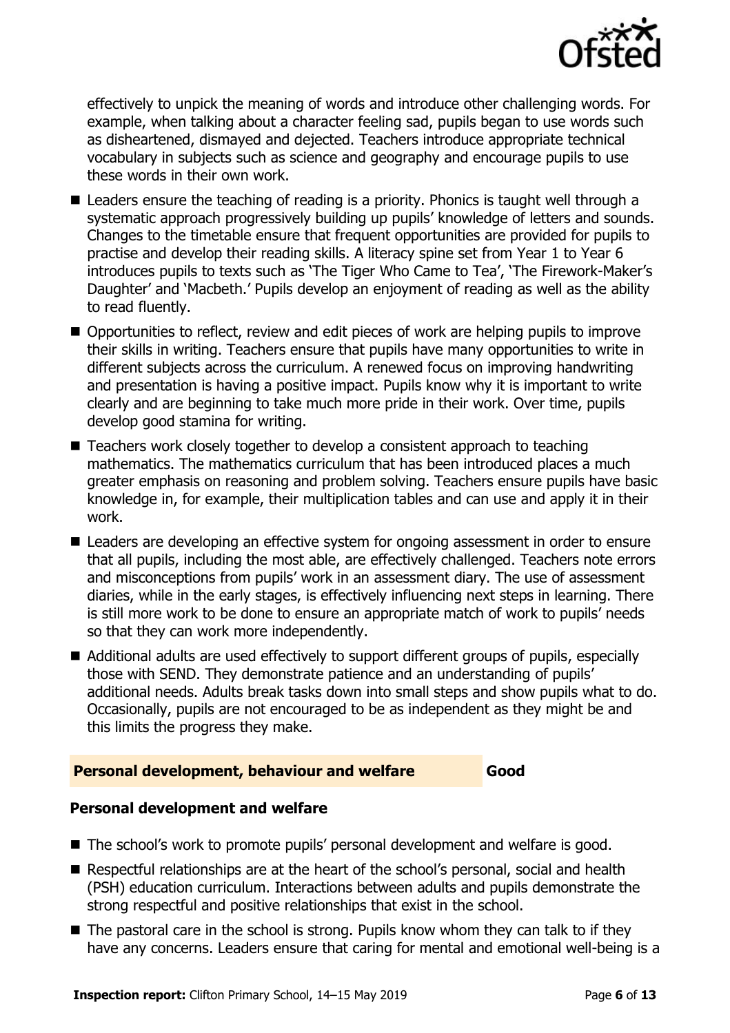

effectively to unpick the meaning of words and introduce other challenging words. For example, when talking about a character feeling sad, pupils began to use words such as disheartened, dismayed and dejected. Teachers introduce appropriate technical vocabulary in subjects such as science and geography and encourage pupils to use these words in their own work.

- Leaders ensure the teaching of reading is a priority. Phonics is taught well through a systematic approach progressively building up pupils' knowledge of letters and sounds. Changes to the timetable ensure that frequent opportunities are provided for pupils to practise and develop their reading skills. A literacy spine set from Year 1 to Year 6 introduces pupils to texts such as 'The Tiger Who Came to Tea', 'The Firework-Maker's Daughter' and 'Macbeth.' Pupils develop an enjoyment of reading as well as the ability to read fluently.
- Opportunities to reflect, review and edit pieces of work are helping pupils to improve their skills in writing. Teachers ensure that pupils have many opportunities to write in different subjects across the curriculum. A renewed focus on improving handwriting and presentation is having a positive impact. Pupils know why it is important to write clearly and are beginning to take much more pride in their work. Over time, pupils develop good stamina for writing.
- Teachers work closely together to develop a consistent approach to teaching mathematics. The mathematics curriculum that has been introduced places a much greater emphasis on reasoning and problem solving. Teachers ensure pupils have basic knowledge in, for example, their multiplication tables and can use and apply it in their work.
- Leaders are developing an effective system for ongoing assessment in order to ensure that all pupils, including the most able, are effectively challenged. Teachers note errors and misconceptions from pupils' work in an assessment diary. The use of assessment diaries, while in the early stages, is effectively influencing next steps in learning. There is still more work to be done to ensure an appropriate match of work to pupils' needs so that they can work more independently.
- Additional adults are used effectively to support different groups of pupils, especially those with SEND. They demonstrate patience and an understanding of pupils' additional needs. Adults break tasks down into small steps and show pupils what to do. Occasionally, pupils are not encouraged to be as independent as they might be and this limits the progress they make.

#### **Personal development, behaviour and welfare Good**

#### **Personal development and welfare**

- The school's work to promote pupils' personal development and welfare is good.
- Respectful relationships are at the heart of the school's personal, social and health (PSH) education curriculum. Interactions between adults and pupils demonstrate the strong respectful and positive relationships that exist in the school.
- $\blacksquare$  The pastoral care in the school is strong. Pupils know whom they can talk to if they have any concerns. Leaders ensure that caring for mental and emotional well-being is a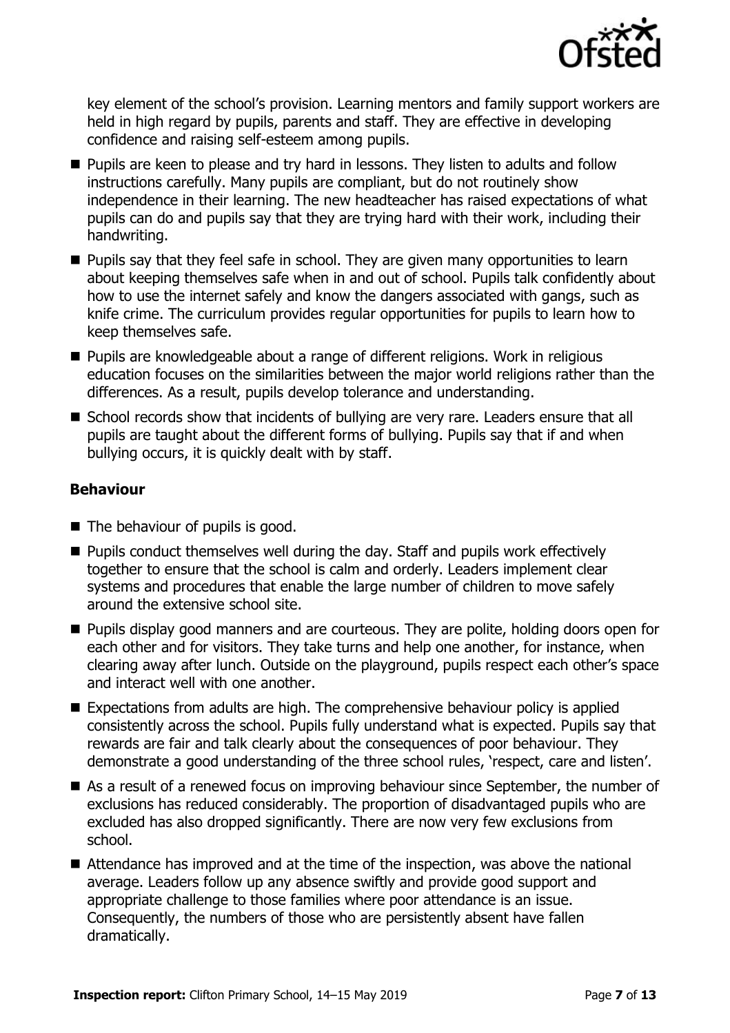

key element of the school's provision. Learning mentors and family support workers are held in high regard by pupils, parents and staff. They are effective in developing confidence and raising self-esteem among pupils.

- **Pupils are keen to please and try hard in lessons. They listen to adults and follow** instructions carefully. Many pupils are compliant, but do not routinely show independence in their learning. The new headteacher has raised expectations of what pupils can do and pupils say that they are trying hard with their work, including their handwriting.
- **Pupils say that they feel safe in school. They are given many opportunities to learn** about keeping themselves safe when in and out of school. Pupils talk confidently about how to use the internet safely and know the dangers associated with gangs, such as knife crime. The curriculum provides regular opportunities for pupils to learn how to keep themselves safe.
- Pupils are knowledgeable about a range of different religions. Work in religious education focuses on the similarities between the major world religions rather than the differences. As a result, pupils develop tolerance and understanding.
- School records show that incidents of bullying are very rare. Leaders ensure that all pupils are taught about the different forms of bullying. Pupils say that if and when bullying occurs, it is quickly dealt with by staff.

### **Behaviour**

- The behaviour of pupils is good.
- Pupils conduct themselves well during the day. Staff and pupils work effectively together to ensure that the school is calm and orderly. Leaders implement clear systems and procedures that enable the large number of children to move safely around the extensive school site.
- **Pupils display good manners and are courteous. They are polite, holding doors open for** each other and for visitors. They take turns and help one another, for instance, when clearing away after lunch. Outside on the playground, pupils respect each other's space and interact well with one another.
- Expectations from adults are high. The comprehensive behaviour policy is applied consistently across the school. Pupils fully understand what is expected. Pupils say that rewards are fair and talk clearly about the consequences of poor behaviour. They demonstrate a good understanding of the three school rules, 'respect, care and listen'.
- As a result of a renewed focus on improving behaviour since September, the number of exclusions has reduced considerably. The proportion of disadvantaged pupils who are excluded has also dropped significantly. There are now very few exclusions from school.
- Attendance has improved and at the time of the inspection, was above the national average. Leaders follow up any absence swiftly and provide good support and appropriate challenge to those families where poor attendance is an issue. Consequently, the numbers of those who are persistently absent have fallen dramatically.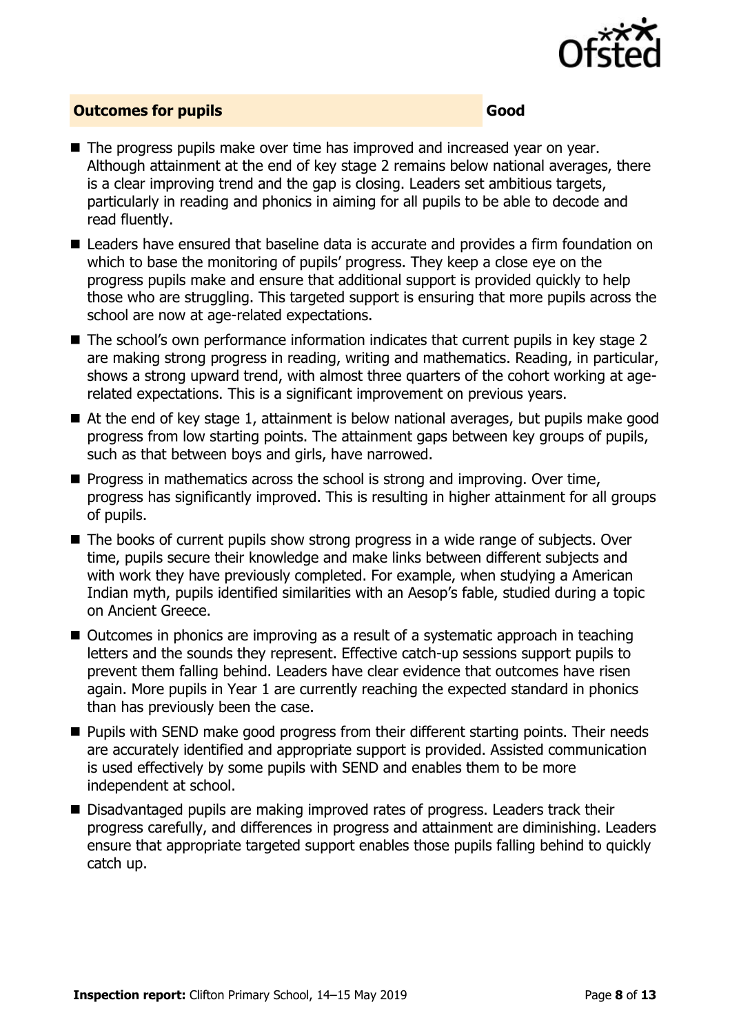

#### **Outcomes for pupils Good**

- The progress pupils make over time has improved and increased vear on year. Although attainment at the end of key stage 2 remains below national averages, there is a clear improving trend and the gap is closing. Leaders set ambitious targets, particularly in reading and phonics in aiming for all pupils to be able to decode and read fluently.
- Leaders have ensured that baseline data is accurate and provides a firm foundation on which to base the monitoring of pupils' progress. They keep a close eye on the progress pupils make and ensure that additional support is provided quickly to help those who are struggling. This targeted support is ensuring that more pupils across the school are now at age-related expectations.
- The school's own performance information indicates that current pupils in key stage 2 are making strong progress in reading, writing and mathematics. Reading, in particular, shows a strong upward trend, with almost three quarters of the cohort working at agerelated expectations. This is a significant improvement on previous years.
- At the end of key stage 1, attainment is below national averages, but pupils make good progress from low starting points. The attainment gaps between key groups of pupils, such as that between boys and girls, have narrowed.
- $\blacksquare$  Progress in mathematics across the school is strong and improving. Over time, progress has significantly improved. This is resulting in higher attainment for all groups of pupils.
- The books of current pupils show strong progress in a wide range of subjects. Over time, pupils secure their knowledge and make links between different subjects and with work they have previously completed. For example, when studying a American Indian myth, pupils identified similarities with an Aesop's fable, studied during a topic on Ancient Greece.
- Outcomes in phonics are improving as a result of a systematic approach in teaching letters and the sounds they represent. Effective catch-up sessions support pupils to prevent them falling behind. Leaders have clear evidence that outcomes have risen again. More pupils in Year 1 are currently reaching the expected standard in phonics than has previously been the case.
- **Pupils with SEND make good progress from their different starting points. Their needs** are accurately identified and appropriate support is provided. Assisted communication is used effectively by some pupils with SEND and enables them to be more independent at school.
- Disadvantaged pupils are making improved rates of progress. Leaders track their progress carefully, and differences in progress and attainment are diminishing. Leaders ensure that appropriate targeted support enables those pupils falling behind to quickly catch up.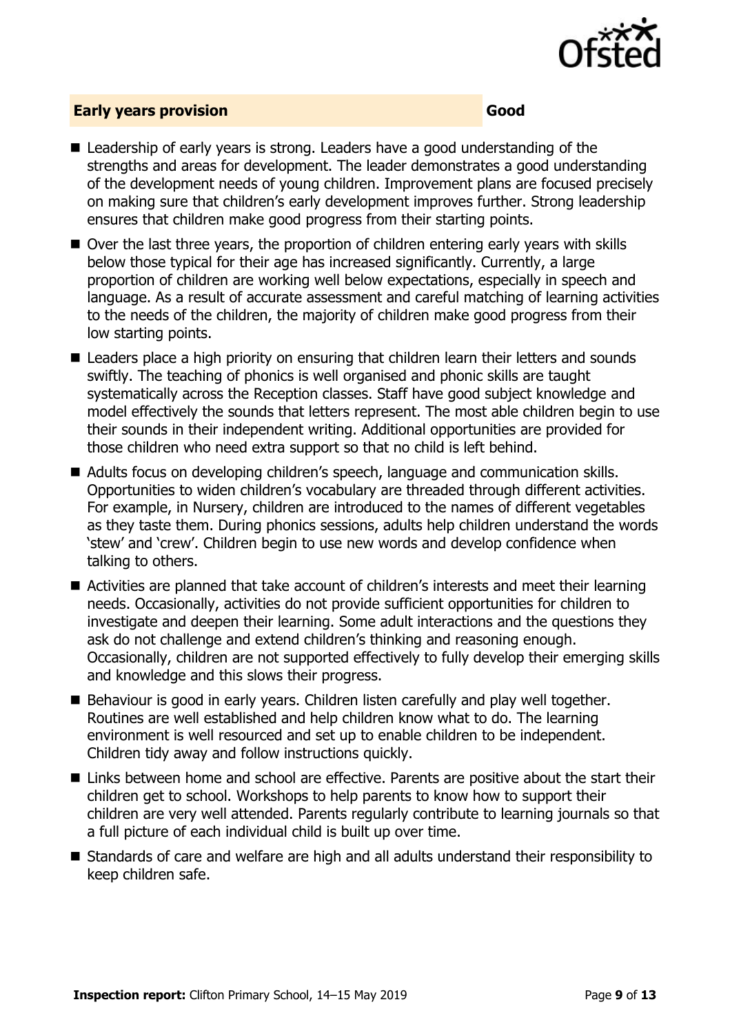

#### **Early years provision Good**

- Leadership of early years is strong. Leaders have a good understanding of the strengths and areas for development. The leader demonstrates a good understanding of the development needs of young children. Improvement plans are focused precisely on making sure that children's early development improves further. Strong leadership ensures that children make good progress from their starting points.
- Over the last three years, the proportion of children entering early years with skills below those typical for their age has increased significantly. Currently, a large proportion of children are working well below expectations, especially in speech and language. As a result of accurate assessment and careful matching of learning activities to the needs of the children, the majority of children make good progress from their low starting points.
- Leaders place a high priority on ensuring that children learn their letters and sounds swiftly. The teaching of phonics is well organised and phonic skills are taught systematically across the Reception classes. Staff have good subject knowledge and model effectively the sounds that letters represent. The most able children begin to use their sounds in their independent writing. Additional opportunities are provided for those children who need extra support so that no child is left behind.
- Adults focus on developing children's speech, language and communication skills. Opportunities to widen children's vocabulary are threaded through different activities. For example, in Nursery, children are introduced to the names of different vegetables as they taste them. During phonics sessions, adults help children understand the words 'stew' and 'crew'. Children begin to use new words and develop confidence when talking to others.
- Activities are planned that take account of children's interests and meet their learning needs. Occasionally, activities do not provide sufficient opportunities for children to investigate and deepen their learning. Some adult interactions and the questions they ask do not challenge and extend children's thinking and reasoning enough. Occasionally, children are not supported effectively to fully develop their emerging skills and knowledge and this slows their progress.
- Behaviour is good in early years. Children listen carefully and play well together. Routines are well established and help children know what to do. The learning environment is well resourced and set up to enable children to be independent. Children tidy away and follow instructions quickly.
- Links between home and school are effective. Parents are positive about the start their children get to school. Workshops to help parents to know how to support their children are very well attended. Parents regularly contribute to learning journals so that a full picture of each individual child is built up over time.
- Standards of care and welfare are high and all adults understand their responsibility to keep children safe.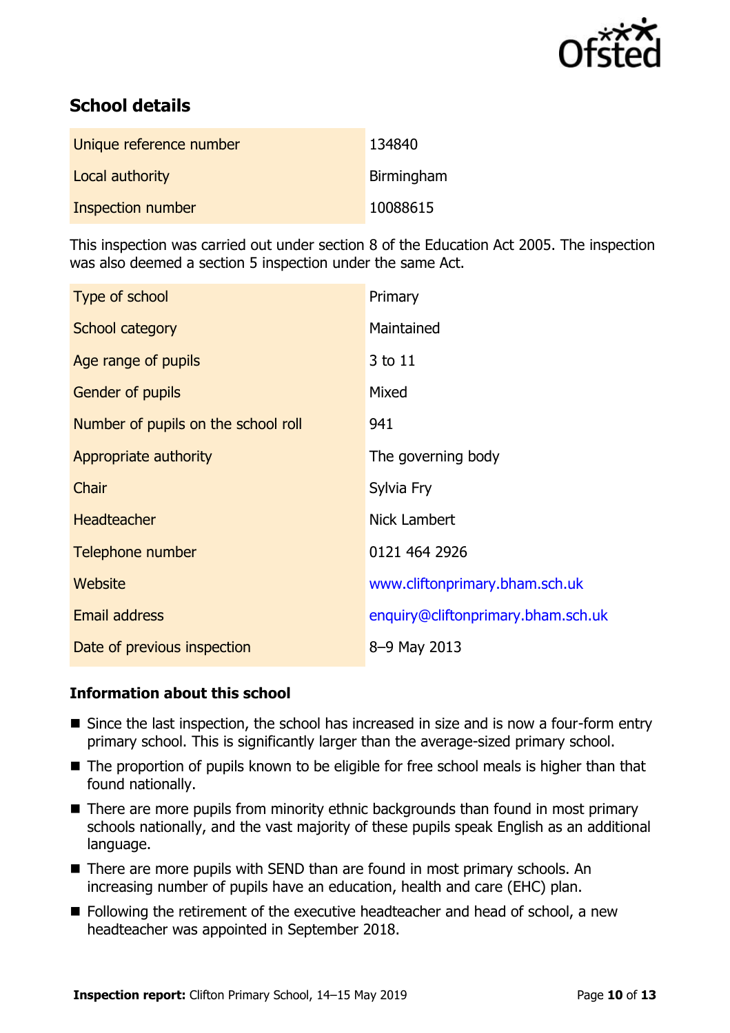

# **School details**

| Unique reference number | 134840     |
|-------------------------|------------|
| Local authority         | Birmingham |
| Inspection number       | 10088615   |

This inspection was carried out under section 8 of the Education Act 2005. The inspection was also deemed a section 5 inspection under the same Act.

| Type of school                      | Primary                            |
|-------------------------------------|------------------------------------|
| School category                     | Maintained                         |
| Age range of pupils                 | 3 to 11                            |
| <b>Gender of pupils</b>             | Mixed                              |
| Number of pupils on the school roll | 941                                |
| Appropriate authority               | The governing body                 |
| Chair                               | Sylvia Fry                         |
| <b>Headteacher</b>                  | Nick Lambert                       |
| Telephone number                    | 0121 464 2926                      |
| Website                             | www.cliftonprimary.bham.sch.uk     |
| <b>Email address</b>                | enquiry@cliftonprimary.bham.sch.uk |
| Date of previous inspection         | 8-9 May 2013                       |

#### **Information about this school**

- Since the last inspection, the school has increased in size and is now a four-form entry primary school. This is significantly larger than the average-sized primary school.
- The proportion of pupils known to be eligible for free school meals is higher than that found nationally.
- $\blacksquare$  There are more pupils from minority ethnic backgrounds than found in most primary schools nationally, and the vast majority of these pupils speak English as an additional language.
- There are more pupils with SEND than are found in most primary schools. An increasing number of pupils have an education, health and care (EHC) plan.
- Following the retirement of the executive headteacher and head of school, a new headteacher was appointed in September 2018.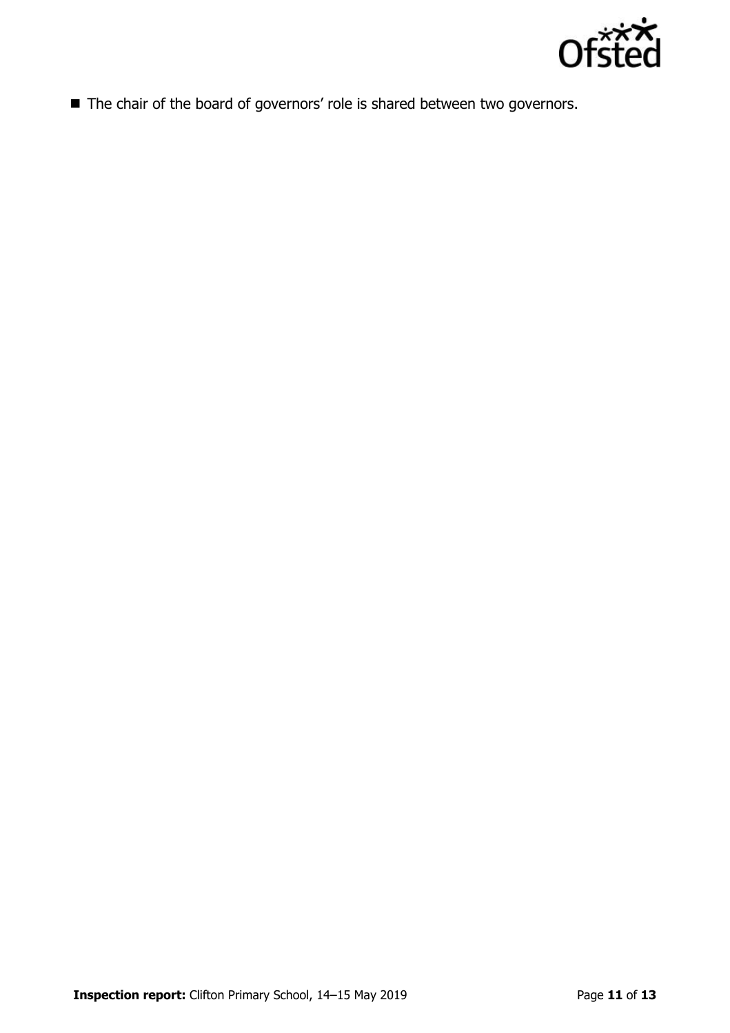

■ The chair of the board of governors' role is shared between two governors.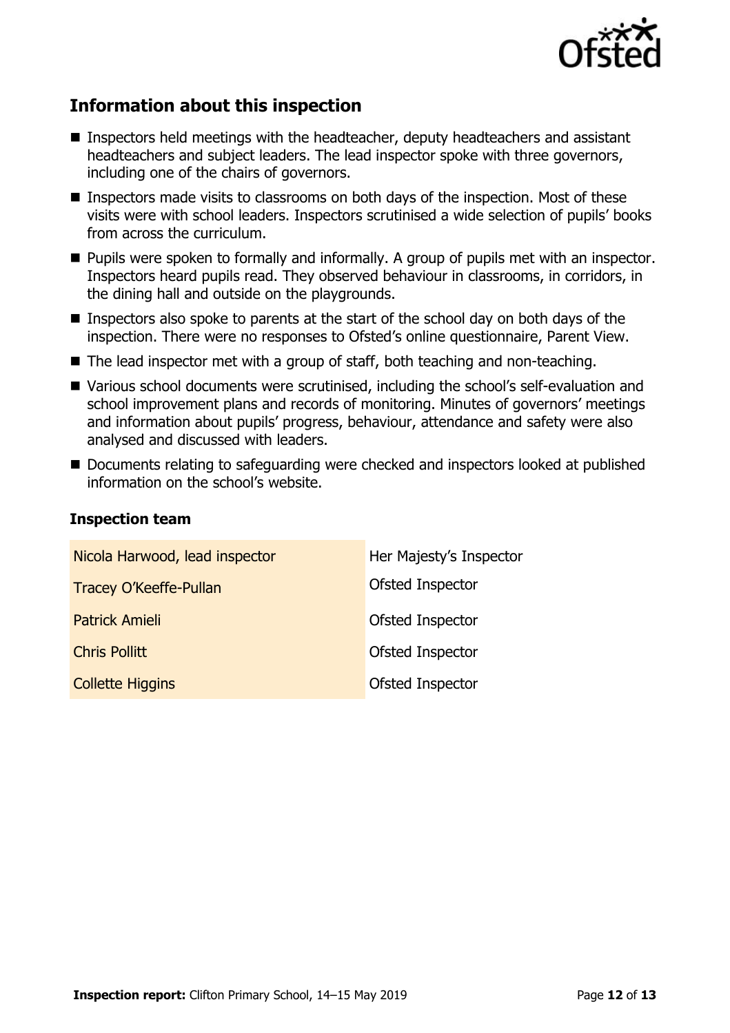

# **Information about this inspection**

- Inspectors held meetings with the headteacher, deputy headteachers and assistant headteachers and subject leaders. The lead inspector spoke with three governors, including one of the chairs of governors.
- Inspectors made visits to classrooms on both days of the inspection. Most of these visits were with school leaders. Inspectors scrutinised a wide selection of pupils' books from across the curriculum.
- Pupils were spoken to formally and informally. A group of pupils met with an inspector. Inspectors heard pupils read. They observed behaviour in classrooms, in corridors, in the dining hall and outside on the playgrounds.
- Inspectors also spoke to parents at the start of the school day on both days of the inspection. There were no responses to Ofsted's online questionnaire, Parent View.
- The lead inspector met with a group of staff, both teaching and non-teaching.
- Various school documents were scrutinised, including the school's self-evaluation and school improvement plans and records of monitoring. Minutes of governors' meetings and information about pupils' progress, behaviour, attendance and safety were also analysed and discussed with leaders.
- Documents relating to safeguarding were checked and inspectors looked at published information on the school's website.

#### **Inspection team**

| Nicola Harwood, lead inspector | Her Majesty's Inspector |
|--------------------------------|-------------------------|
| <b>Tracey O'Keeffe-Pullan</b>  | Ofsted Inspector        |
| Patrick Amieli                 | Ofsted Inspector        |
| <b>Chris Pollitt</b>           | Ofsted Inspector        |
| <b>Collette Higgins</b>        | Ofsted Inspector        |